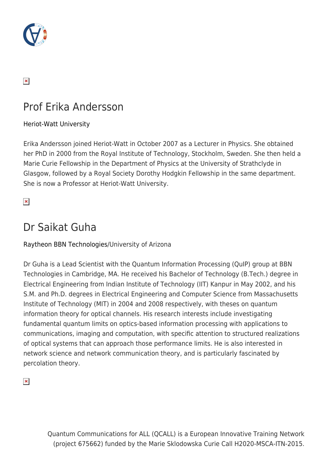

### $\pmb{\times}$

## Prof Erika Andersson

#### [Heriot-Watt University](https://www.hw.ac.uk/)

Erika Andersson joined Heriot-Watt in October 2007 as a Lecturer in Physics. She obtained her PhD in 2000 from the Royal Institute of Technology, Stockholm, Sweden. She then held a Marie Curie Fellowship in the Department of Physics at the University of Strathclyde in Glasgow, followed by a Royal Society Dorothy Hodgkin Fellowship in the same department. She is now a Professor at Heriot-Watt University.

 $\pmb{\times}$ 

### Dr Saikat Guha

#### [Raytheon BBN Technologies](http://www.raytheon.com/ourcompany/bbn/)/University of Arizona

Dr Guha is a Lead Scientist with the Quantum Information Processing (QuIP) group at BBN Technologies in Cambridge, MA. He received his Bachelor of Technology (B.Tech.) degree in Electrical Engineering from Indian Institute of Technology (IIT) Kanpur in May 2002, and his S.M. and Ph.D. degrees in Electrical Engineering and Computer Science from Massachusetts Institute of Technology (MIT) in 2004 and 2008 respectively, with theses on quantum information theory for optical channels. His research interests include investigating fundamental quantum limits on optics-based information processing with applications to communications, imaging and computation, with specific attention to structured realizations of optical systems that can approach those performance limits. He is also interested in network science and network communication theory, and is particularly fascinated by percolation theory.

 $\pmb{\times}$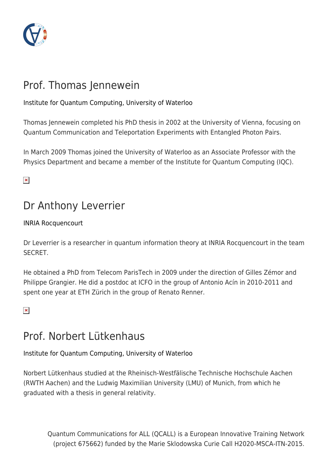

# Prof. Thomas Jennewein

#### [Institute for Quantum Computing, University of Waterloo](https://uwaterloo.ca/institute-for-quantum-computing/)

Thomas Jennewein completed his PhD thesis in 2002 at the University of Vienna, focusing on Quantum Communication and Teleportation Experiments with Entangled Photon Pairs.

In March 2009 Thomas joined the University of Waterloo as an Associate Professor with the Physics Department and became a member of the Institute for Quantum Computing (IQC).

 $\pmb{\times}$ 

## Dr Anthony Leverrier

[INRIA Rocquencourt](https://www.inria.fr/en/centre/paris/)

Dr Leverrier is a researcher in quantum information theory at INRIA Rocquencourt in the team SECRET.

He obtained a PhD from Telecom ParisTech in 2009 under the direction of Gilles Zémor and Philippe Grangier. He did a postdoc at ICFO in the group of Antonio Acín in 2010-2011 and spent one year at ETH Zürich in the group of Renato Renner.

 $\pmb{\times}$ 

### Prof. Norbert Lütkenhaus

#### [Institute for Quantum Computing, University of Waterloo](https://uwaterloo.ca/institute-for-quantum-computing/)

Norbert Lütkenhaus studied at the Rheinisch-Westfälische Technische Hochschule Aachen (RWTH Aachen) and the Ludwig Maximilian University (LMU) of Munich, from which he graduated with a thesis in general relativity.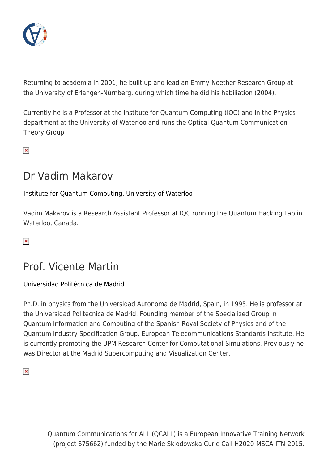

Returning to academia in 2001, he built up and lead an Emmy-Noether Research Group at the University of Erlangen-Nürnberg, during which time he did his habiliation (2004).

Currently he is a Professor at the Institute for Quantum Computing (IQC) and in the Physics department at the University of Waterloo and runs the Optical Quantum Communication Theory Group

 $\pmb{\times}$ 

### Dr Vadim Makarov

[Institute for Quantum Computing, University of Waterloo](https://uwaterloo.ca/institute-for-quantum-computing/)

Vadim Makarov is a Research Assistant Professor at IQC running the Quantum Hacking Lab in Waterloo, Canada.

 $\pmb{\times}$ 

## Prof. Vicente Martin

[Universidad Politécnica de Madrid](http://www.upm.es/internacional/)

Ph.D. in physics from the Universidad Autonoma de Madrid, Spain, in 1995. He is professor at the Universidad Politécnica de Madrid. Founding member of the Specialized Group in Quantum Information and Computing of the Spanish Royal Society of Physics and of the Quantum Industry Specification Group, European Telecommunications Standards Institute. He is currently promoting the UPM Research Center for Computational Simulations. Previously he was Director at the Madrid Supercomputing and Visualization Center.

 $\pmb{\times}$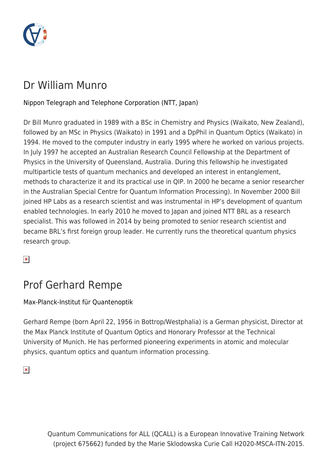

## Dr William Munro

#### [Nippon Telegraph and Telephone Corporation \(NTT, Japan\)](http://www.ntt.co.jp/index_e.html)

Dr Bill Munro graduated in 1989 with a BSc in Chemistry and Physics (Waikato, New Zealand), followed by an MSc in Physics (Waikato) in 1991 and a DpPhil in Quantum Optics (Waikato) in 1994. He moved to the computer industry in early 1995 where he worked on various projects. In July 1997 he accepted an Australian Research Council Fellowship at the Department of Physics in the University of Queensland, Australia. During this fellowship he investigated multiparticle tests of quantum mechanics and developed an interest in entanglement, methods to characterize it and its practical use in QIP. In 2000 he became a senior researcher in the Australian Special Centre for Quantum Information Processing). In November 2000 Bill joined HP Labs as a research scientist and was instrumental in HP's development of quantum enabled technologies. In early 2010 he moved to Japan and joined NTT BRL as a research specialist. This was followed in 2014 by being promoted to senior research scientist and became BRL's first foreign group leader. He currently runs the theoretical quantum physics research group.

 $\pmb{\times}$ 

### Prof Gerhard Rempe

[Max-Planck-Institut für Quantenoptik](http://www.mpq.mpg.de/quantumdynamics)

Gerhard Rempe (born April 22, 1956 in Bottrop/Westphalia) is a German physicist, Director at the Max Planck Institute of Quantum Optics and Honorary Professor at the Technical University of Munich. He has performed pioneering experiments in atomic and molecular physics, quantum optics and quantum information processing.

 $\pmb{\times}$